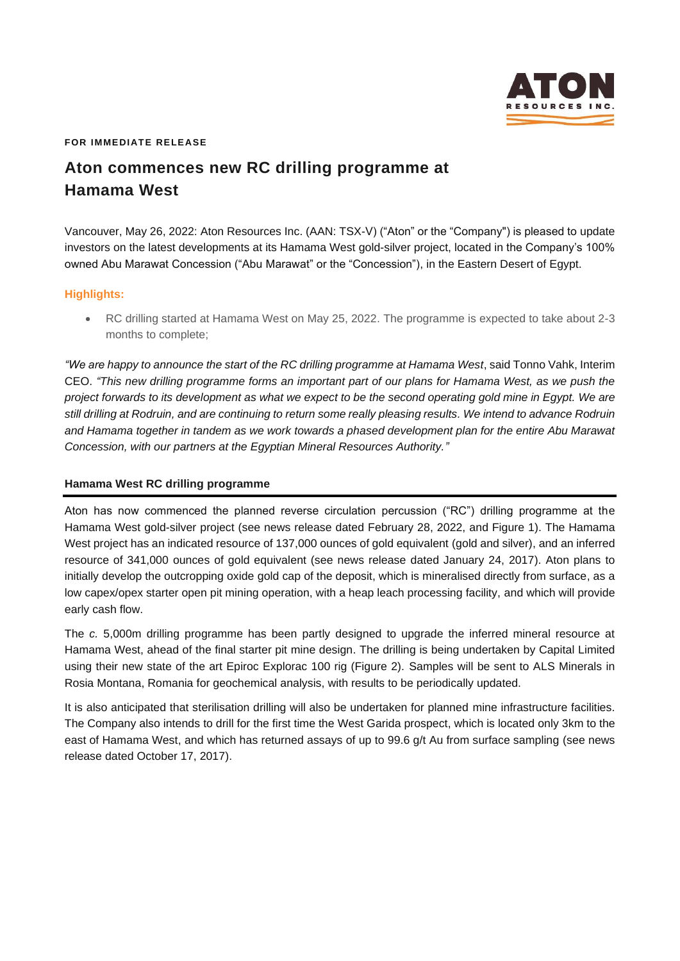

### **FOR IMMEDIATE RELEASE**

# **Aton commences new RC drilling programme at Hamama West**

Vancouver, May 26, 2022: Aton Resources Inc. (AAN: TSX-V) ("Aton" or the "Company") is pleased to update investors on the latest developments at its Hamama West gold-silver project, located in the Company's 100% owned Abu Marawat Concession ("Abu Marawat" or the "Concession"), in the Eastern Desert of Egypt.

## **Highlights:**

• RC drilling started at Hamama West on May 25, 2022. The programme is expected to take about 2-3 months to complete;

*"We are happy to announce the start of the RC drilling programme at Hamama West*, said Tonno Vahk, Interim CEO. *"This new drilling programme forms an important part of our plans for Hamama West, as we push the project forwards to its development as what we expect to be the second operating gold mine in Egypt. We are still drilling at Rodruin, and are continuing to return some really pleasing results. We intend to advance Rodruin and Hamama together in tandem as we work towards a phased development plan for the entire Abu Marawat Concession, with our partners at the Egyptian Mineral Resources Authority."*

## **Hamama West RC drilling programme**

Aton has now commenced the planned reverse circulation percussion ("RC") drilling programme at the Hamama West gold-silver project (see news release dated February 28, 2022, and Figure 1). The Hamama West project has an indicated resource of 137,000 ounces of gold equivalent (gold and silver), and an inferred resource of 341,000 ounces of gold equivalent (see news release dated January 24, 2017). Aton plans to initially develop the outcropping oxide gold cap of the deposit, which is mineralised directly from surface, as a low capex/opex starter open pit mining operation, with a heap leach processing facility, and which will provide early cash flow.

The *c.* 5,000m drilling programme has been partly designed to upgrade the inferred mineral resource at Hamama West, ahead of the final starter pit mine design. The drilling is being undertaken by Capital Limited using their new state of the art Epiroc Explorac 100 rig (Figure 2). Samples will be sent to ALS Minerals in Rosia Montana, Romania for geochemical analysis, with results to be periodically updated.

It is also anticipated that sterilisation drilling will also be undertaken for planned mine infrastructure facilities. The Company also intends to drill for the first time the West Garida prospect, which is located only 3km to the east of Hamama West, and which has returned assays of up to 99.6 g/t Au from surface sampling (see news release dated October 17, 2017).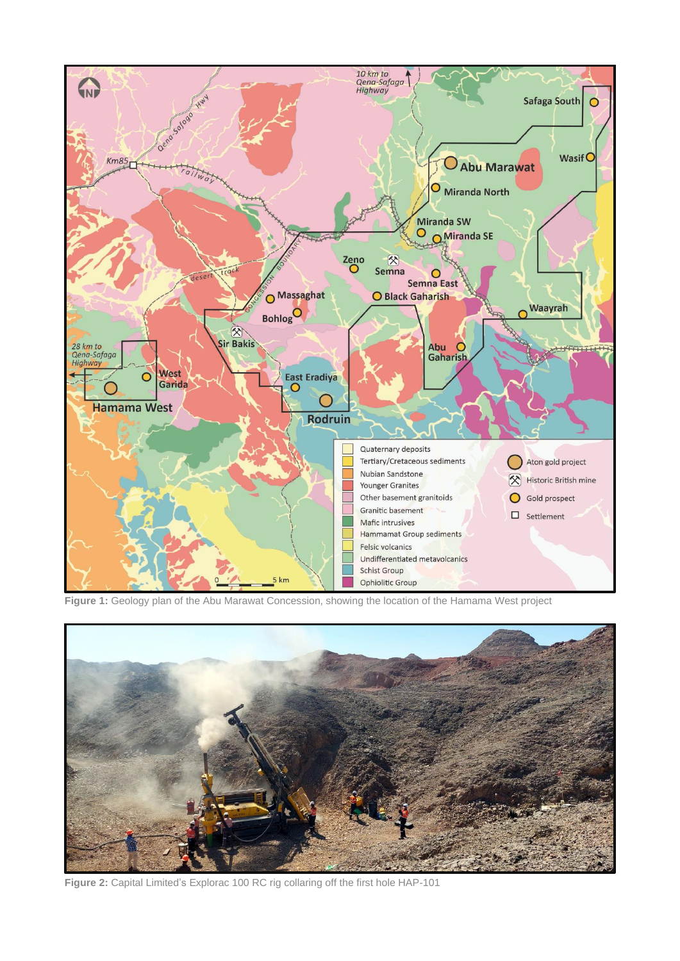

**Figure 1:** Geology plan of the Abu Marawat Concession, showing the location of the Hamama West project



**Figure 2:** Capital Limited's Explorac 100 RC rig collaring off the first hole HAP-101